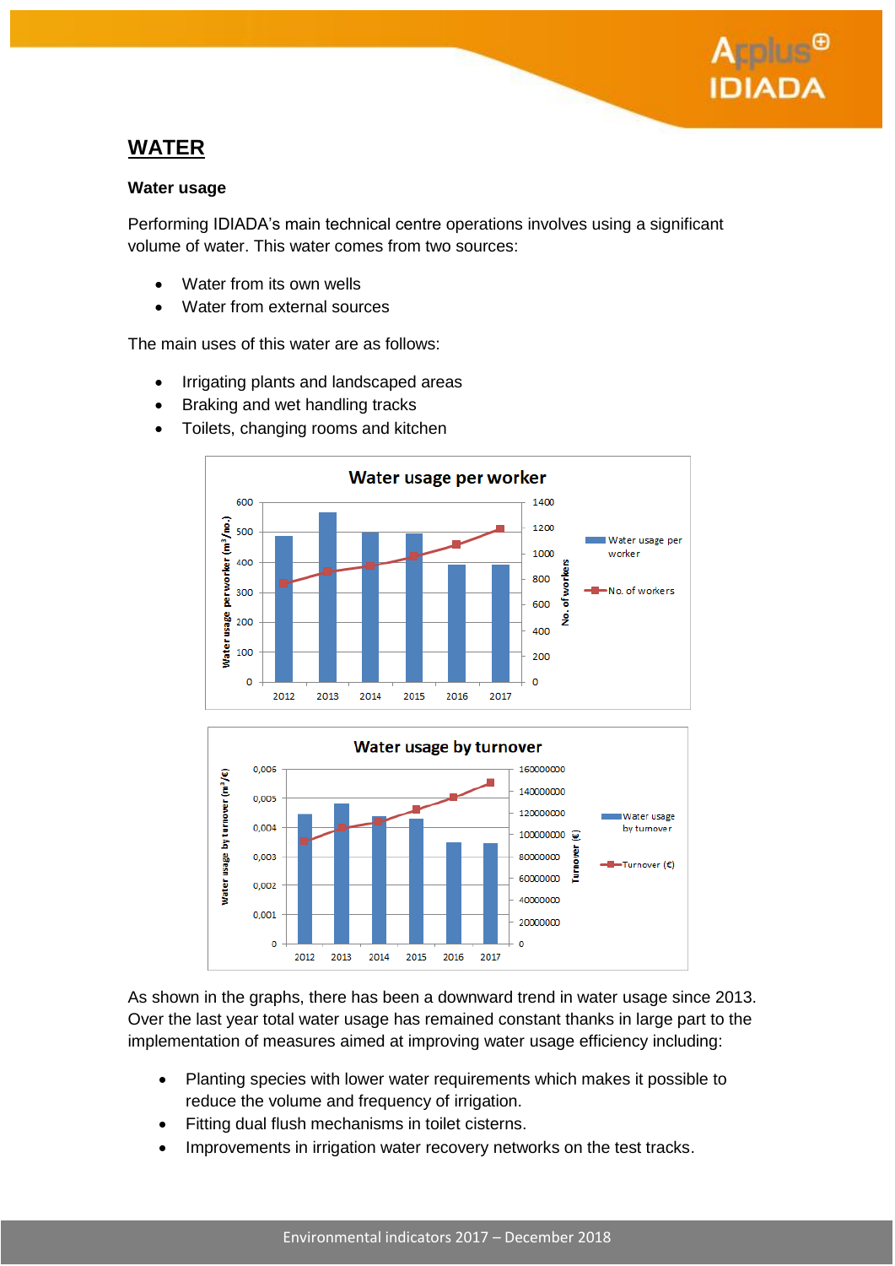

## **WATER**

#### **Water usage**

Performing IDIADA's main technical centre operations involves using a significant volume of water. This water comes from two sources:

- Water from its own wells
- Water from external sources

The main uses of this water are as follows:

- Irrigating plants and landscaped areas
- Braking and wet handling tracks
- Toilets, changing rooms and kitchen





As shown in the graphs, there has been a downward trend in water usage since 2013. Over the last year total water usage has remained constant thanks in large part to the implementation of measures aimed at improving water usage efficiency including:

- Planting species with lower water requirements which makes it possible to reduce the volume and frequency of irrigation.
- Fitting dual flush mechanisms in toilet cisterns.
- Improvements in irrigation water recovery networks on the test tracks.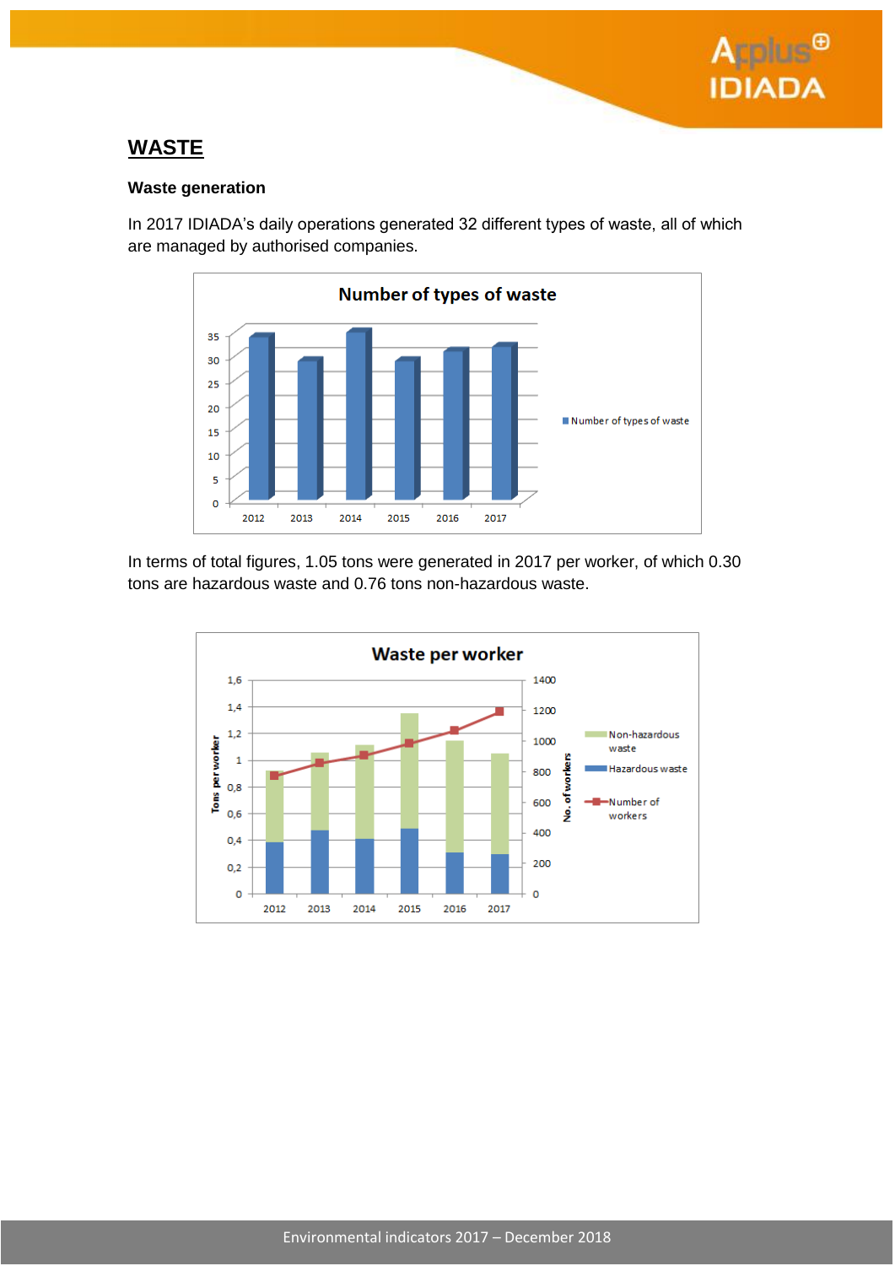

## **WASTE**

#### **Waste generation**

In 2017 IDIADA's daily operations generated 32 different types of waste, all of which are managed by authorised companies.



In terms of total figures, 1.05 tons were generated in 2017 per worker, of which 0.30 tons are hazardous waste and 0.76 tons non-hazardous waste.

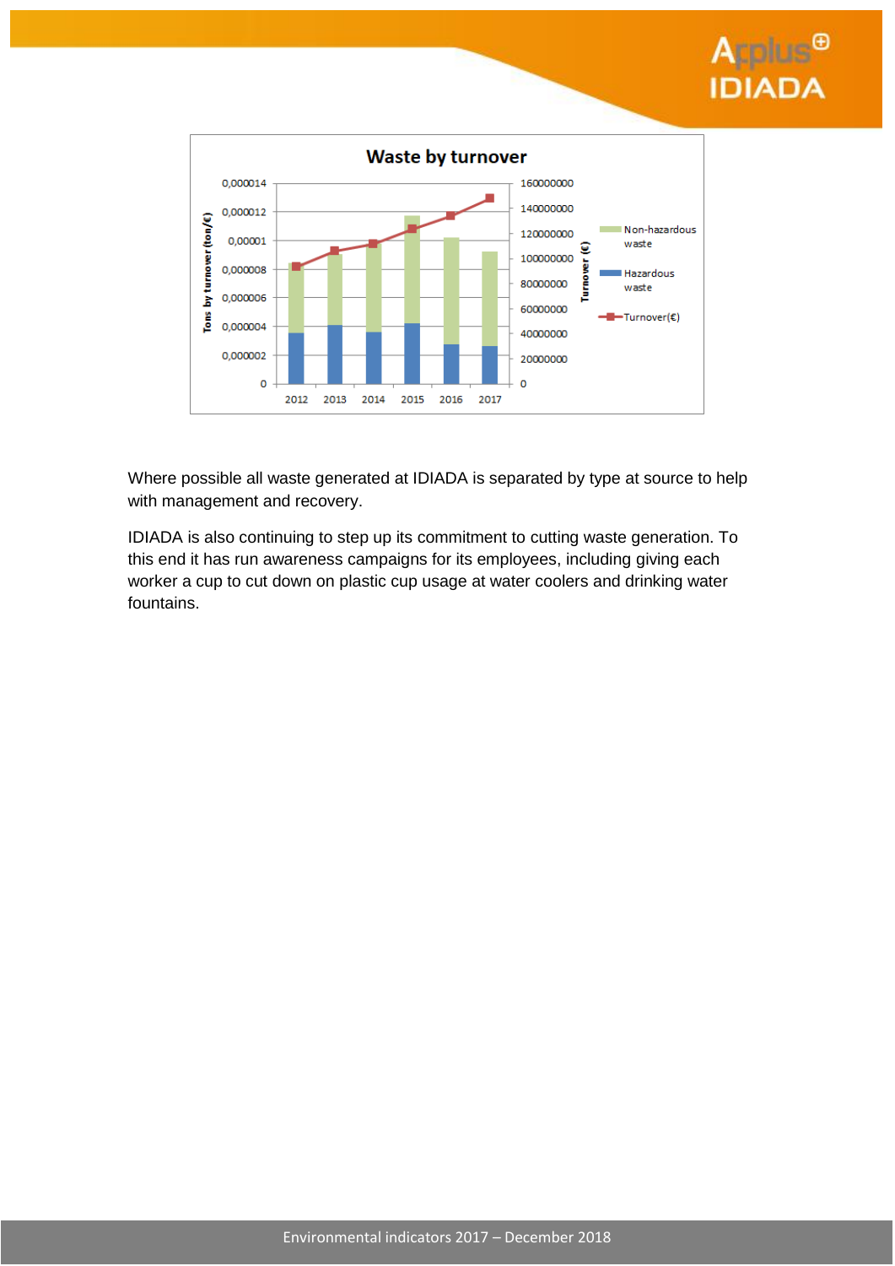



Where possible all waste generated at IDIADA is separated by type at source to help with management and recovery.

IDIADA is also continuing to step up its commitment to cutting waste generation. To this end it has run awareness campaigns for its employees, including giving each worker a cup to cut down on plastic cup usage at water coolers and drinking water fountains.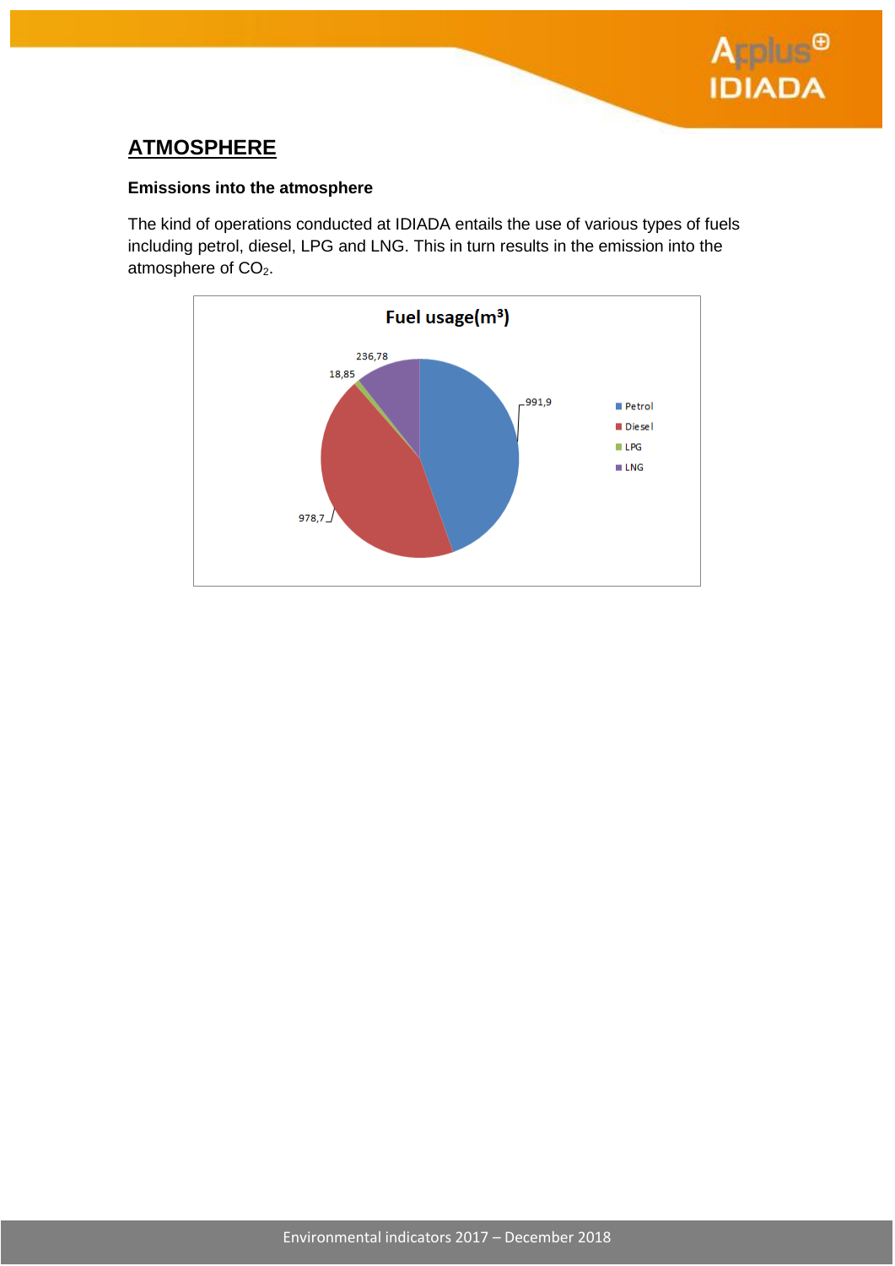

# **ATMOSPHERE**

### **Emissions into the atmosphere**

The kind of operations conducted at IDIADA entails the use of various types of fuels including petrol, diesel, LPG and LNG. This in turn results in the emission into the atmosphere of CO<sub>2</sub>.

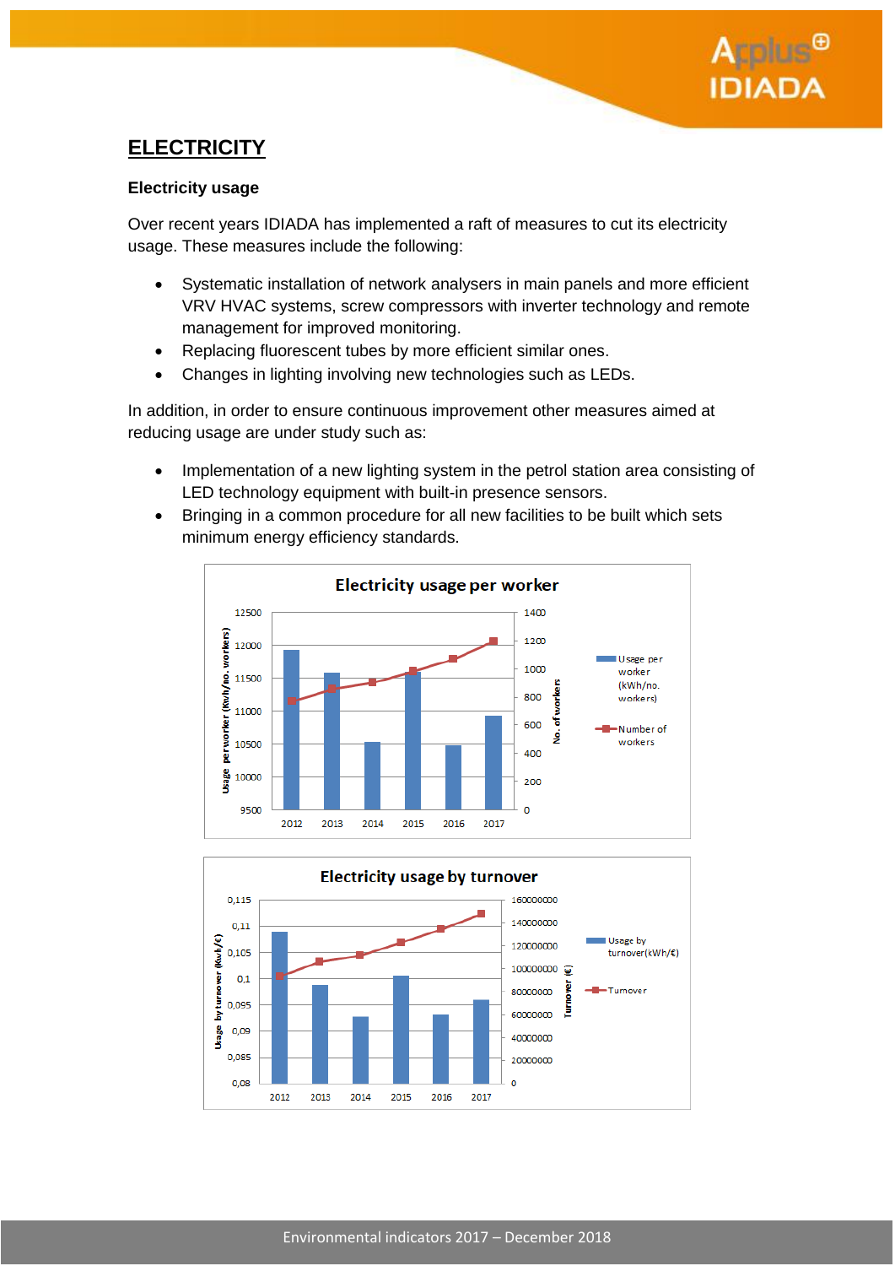# **ELECTRICITY**

### **Electricity usage**

Over recent years IDIADA has implemented a raft of measures to cut its electricity usage. These measures include the following:

- Systematic installation of network analysers in main panels and more efficient VRV HVAC systems, screw compressors with inverter technology and remote management for improved monitoring.
- Replacing fluorescent tubes by more efficient similar ones.
- Changes in lighting involving new technologies such as LEDs.

In addition, in order to ensure continuous improvement other measures aimed at reducing usage are under study such as:

- Implementation of a new lighting system in the petrol station area consisting of LED technology equipment with built-in presence sensors.
- Bringing in a common procedure for all new facilities to be built which sets minimum energy efficiency standards.